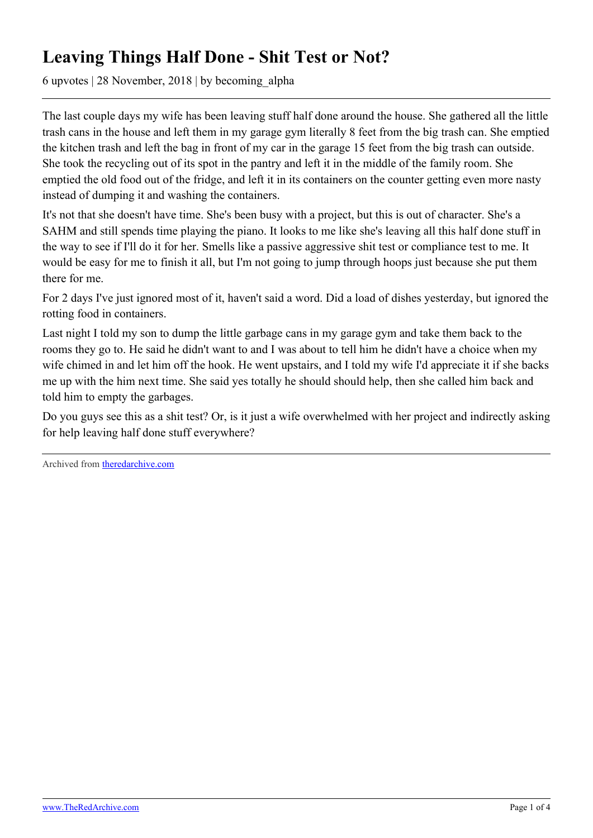## **Leaving Things Half Done - Shit Test or Not?**

6 upvotes | 28 November, 2018 | by becoming\_alpha

The last couple days my wife has been leaving stuff half done around the house. She gathered all the little trash cans in the house and left them in my garage gym literally 8 feet from the big trash can. She emptied the kitchen trash and left the bag in front of my car in the garage 15 feet from the big trash can outside. She took the recycling out of its spot in the pantry and left it in the middle of the family room. She emptied the old food out of the fridge, and left it in its containers on the counter getting even more nasty instead of dumping it and washing the containers.

It's not that she doesn't have time. She's been busy with a project, but this is out of character. She's a SAHM and still spends time playing the piano. It looks to me like she's leaving all this half done stuff in the way to see if I'll do it for her. Smells like a passive aggressive shit test or compliance test to me. It would be easy for me to finish it all, but I'm not going to jump through hoops just because she put them there for me.

For 2 days I've just ignored most of it, haven't said a word. Did a load of dishes yesterday, but ignored the rotting food in containers.

Last night I told my son to dump the little garbage cans in my garage gym and take them back to the rooms they go to. He said he didn't want to and I was about to tell him he didn't have a choice when my wife chimed in and let him off the hook. He went upstairs, and I told my wife I'd appreciate it if she backs me up with the him next time. She said yes totally he should should help, then she called him back and told him to empty the garbages.

Do you guys see this as a shit test? Or, is it just a wife overwhelmed with her project and indirectly asking for help leaving half done stuff everywhere?

Archived from [theredarchive.com](https://theredarchive.com/r/askMRP/leaving-things-half-done-shit-test-or-not.203769)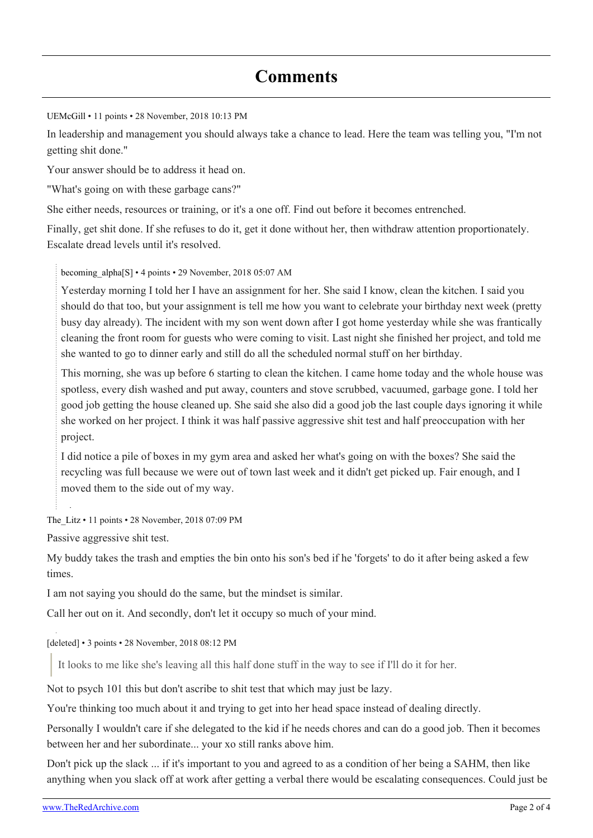## **Comments**

[UEMcGill](https://old.reddit.com/user/UEMcGill) • 11 points • 28 November, 2018 10:13 PM

In leadership and management you should always take a chance to lead. Here the team was telling you, "I'm not getting shit done."

Your answer should be to address it head on.

"What's going on with these garbage cans?"

She either needs, resources or training, or it's a one off. Find out before it becomes entrenched.

Finally, get shit done. If she refuses to do it, get it done without her, then withdraw attention proportionately. Escalate dread levels until it's resolved.

[becoming\\_alpha](https://old.reddit.com/user/becoming_alpha)[\[S\]](https://theredarchive.com/r/askMRP/comments/a196zv/leaving_things_half_done_shit_test_or_not/) • 4 points • 29 November, 2018 05:07 AM

Yesterday morning I told her I have an assignment for her. She said I know, clean the kitchen. I said you should do that too, but your assignment is tell me how you want to celebrate your birthday next week (pretty busy day already). The incident with my son went down after I got home yesterday while she was frantically cleaning the front room for guests who were coming to visit. Last night she finished her project, and told me she wanted to go to dinner early and still do all the scheduled normal stuff on her birthday.

This morning, she was up before 6 starting to clean the kitchen. I came home today and the whole house was spotless, every dish washed and put away, counters and stove scrubbed, vacuumed, garbage gone. I told her good job getting the house cleaned up. She said she also did a good job the last couple days ignoring it while she worked on her project. I think it was half passive aggressive shit test and half preoccupation with her project.

I did notice a pile of boxes in my gym area and asked her what's going on with the boxes? She said the recycling was full because we were out of town last week and it didn't get picked up. Fair enough, and I moved them to the side out of my way.

[The\\_Litz](https://old.reddit.com/user/The_Litz) • 11 points • 28 November, 2018 07:09 PM

Passive aggressive shit test.

My buddy takes the trash and empties the bin onto his son's bed if he 'forgets' to do it after being asked a few times.

I am not saying you should do the same, but the mindset is similar.

Call her out on it. And secondly, don't let it occupy so much of your mind.

[deleted] • 3 points • 28 November, 2018 08:12 PM

It looks to me like she's leaving all this half done stuff in the way to see if I'll do it for her.

Not to psych 101 this but don't ascribe to shit test that which may just be lazy.

You're thinking too much about it and trying to get into her head space instead of dealing directly.

Personally I wouldn't care if she delegated to the kid if he needs chores and can do a good job. Then it becomes between her and her subordinate... your xo still ranks above him.

Don't pick up the slack ... if it's important to you and agreed to as a condition of her being a SAHM, then like anything when you slack off at work after getting a verbal there would be escalating consequences. Could just be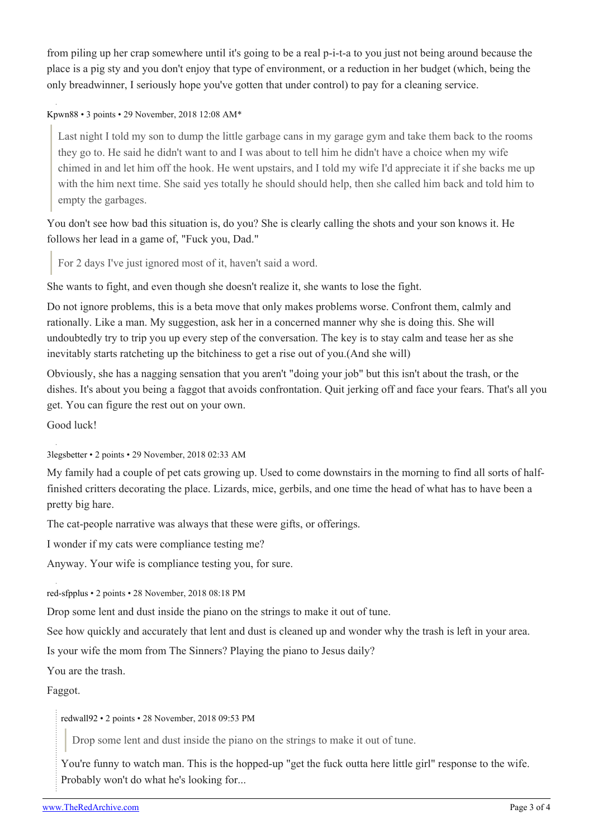from piling up her crap somewhere until it's going to be a real p-i-t-a to you just not being around because the place is a pig sty and you don't enjoy that type of environment, or a reduction in her budget (which, being the only breadwinner, I seriously hope you've gotten that under control) to pay for a cleaning service.

[Kpwn88](https://old.reddit.com/user/Kpwn88) • 3 points • 29 November, 2018 12:08 AM\*

Last night I told my son to dump the little garbage cans in my garage gym and take them back to the rooms they go to. He said he didn't want to and I was about to tell him he didn't have a choice when my wife chimed in and let him off the hook. He went upstairs, and I told my wife I'd appreciate it if she backs me up with the him next time. She said yes totally he should should help, then she called him back and told him to empty the garbages.

You don't see how bad this situation is, do you? She is clearly calling the shots and your son knows it. He follows her lead in a game of, "Fuck you, Dad."

For 2 days I've just ignored most of it, haven't said a word.

She wants to fight, and even though she doesn't realize it, she wants to lose the fight.

Do not ignore problems, this is a beta move that only makes problems worse. Confront them, calmly and rationally. Like a man. My suggestion, ask her in a concerned manner why she is doing this. She will undoubtedly try to trip you up every step of the conversation. The key is to stay calm and tease her as she inevitably starts ratcheting up the bitchiness to get a rise out of you.(And she will)

Obviously, she has a nagging sensation that you aren't "doing your job" but this isn't about the trash, or the dishes. It's about you being a faggot that avoids confrontation. Quit jerking off and face your fears. That's all you get. You can figure the rest out on your own.

Good luck!

[3legsbetter](https://old.reddit.com/user/3legsbetter) • 2 points • 29 November, 2018 02:33 AM

My family had a couple of pet cats growing up. Used to come downstairs in the morning to find all sorts of halffinished critters decorating the place. Lizards, mice, gerbils, and one time the head of what has to have been a pretty big hare.

The cat-people narrative was always that these were gifts, or offerings.

I wonder if my cats were compliance testing me?

Anyway. Your wife is compliance testing you, for sure.

[red-sfpplus](https://old.reddit.com/user/red-sfpplus) • 2 points • 28 November, 2018 08:18 PM

Drop some lent and dust inside the piano on the strings to make it out of tune.

See how quickly and accurately that lent and dust is cleaned up and wonder why the trash is left in your area.

Is your wife the mom from The Sinners? Playing the piano to Jesus daily?

You are the trash.

Faggot.

[redwall92](https://old.reddit.com/user/redwall92) • 2 points • 28 November, 2018 09:53 PM

Drop some lent and dust inside the piano on the strings to make it out of tune.

You're funny to watch man. This is the hopped-up "get the fuck outta here little girl" response to the wife. Probably won't do what he's looking for...